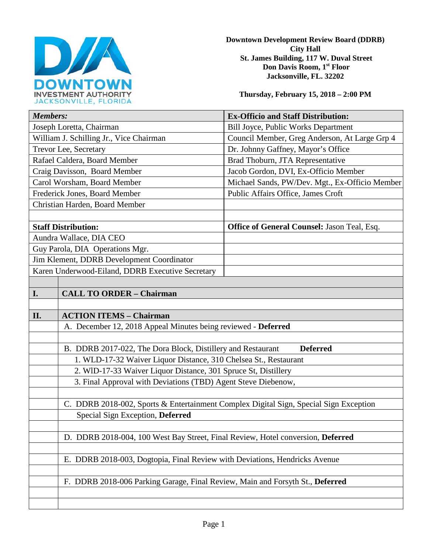

**Downtown Development Review Board (DDRB) City Hall St. James Building, 117 W. Duval Street Don Davis Room, 1st Floor Jacksonville, FL. 32202** 

**Thursday, February 15, 2018 – 2:00 PM**

| <b>Members:</b>                                  |                                                                                       | <b>Ex-Officio and Staff Distribution:</b>          |
|--------------------------------------------------|---------------------------------------------------------------------------------------|----------------------------------------------------|
| Joseph Loretta, Chairman                         |                                                                                       | Bill Joyce, Public Works Department                |
| William J. Schilling Jr., Vice Chairman          |                                                                                       | Council Member, Greg Anderson, At Large Grp 4      |
| Trevor Lee, Secretary                            |                                                                                       | Dr. Johnny Gaffney, Mayor's Office                 |
| Rafael Caldera, Board Member                     |                                                                                       | Brad Thoburn, JTA Representative                   |
| Craig Davisson, Board Member                     |                                                                                       | Jacob Gordon, DVI, Ex-Officio Member               |
| Carol Worsham, Board Member                      |                                                                                       | Michael Sands, PW/Dev. Mgt., Ex-Officio Member     |
| Frederick Jones, Board Member                    |                                                                                       | Public Affairs Office, James Croft                 |
| Christian Harden, Board Member                   |                                                                                       |                                                    |
|                                                  |                                                                                       |                                                    |
| <b>Staff Distribution:</b>                       |                                                                                       | <b>Office of General Counsel: Jason Teal, Esq.</b> |
| Aundra Wallace, DIA CEO                          |                                                                                       |                                                    |
| Guy Parola, DIA Operations Mgr.                  |                                                                                       |                                                    |
| Jim Klement, DDRB Development Coordinator        |                                                                                       |                                                    |
| Karen Underwood-Eiland, DDRB Executive Secretary |                                                                                       |                                                    |
|                                                  |                                                                                       |                                                    |
| I.                                               | <b>CALL TO ORDER - Chairman</b>                                                       |                                                    |
|                                                  |                                                                                       |                                                    |
| II.                                              | <b>ACTION ITEMS - Chairman</b>                                                        |                                                    |
|                                                  | A. December 12, 2018 Appeal Minutes being reviewed - Deferred                         |                                                    |
|                                                  |                                                                                       |                                                    |
|                                                  | B. DDRB 2017-022, The Dora Block, Distillery and Restaurant                           | <b>Deferred</b>                                    |
|                                                  | 1. WLD-17-32 Waiver Liquor Distance, 310 Chelsea St., Restaurant                      |                                                    |
|                                                  | 2. WID-17-33 Waiver Liquor Distance, 301 Spruce St, Distillery                        |                                                    |
|                                                  | 3. Final Approval with Deviations (TBD) Agent Steve Diebenow,                         |                                                    |
|                                                  |                                                                                       |                                                    |
|                                                  | C. DDRB 2018-002, Sports & Entertainment Complex Digital Sign, Special Sign Exception |                                                    |
|                                                  | Special Sign Exception, Deferred                                                      |                                                    |
|                                                  |                                                                                       |                                                    |
|                                                  | D. DDRB 2018-004, 100 West Bay Street, Final Review, Hotel conversion, Deferred       |                                                    |
|                                                  |                                                                                       |                                                    |
|                                                  | E. DDRB 2018-003, Dogtopia, Final Review with Deviations, Hendricks Avenue            |                                                    |
|                                                  |                                                                                       |                                                    |
|                                                  |                                                                                       |                                                    |
|                                                  | F. DDRB 2018-006 Parking Garage, Final Review, Main and Forsyth St., Deferred         |                                                    |
|                                                  |                                                                                       |                                                    |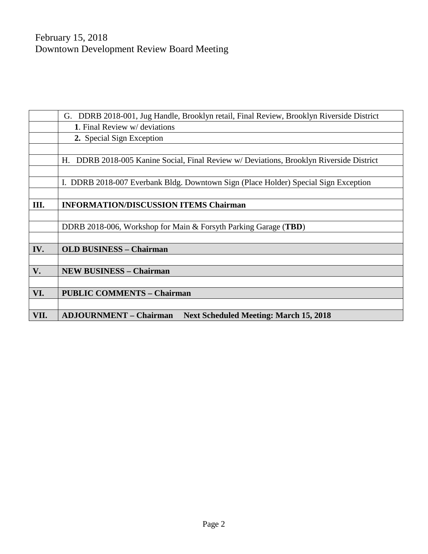|      | G. DDRB 2018-001, Jug Handle, Brooklyn retail, Final Review, Brooklyn Riverside District |  |
|------|------------------------------------------------------------------------------------------|--|
|      | 1. Final Review w/ deviations                                                            |  |
|      | 2. Special Sign Exception                                                                |  |
|      |                                                                                          |  |
|      | H. DDRB 2018-005 Kanine Social, Final Review w/ Deviations, Brooklyn Riverside District  |  |
|      |                                                                                          |  |
|      | I. DDRB 2018-007 Everbank Bldg. Downtown Sign (Place Holder) Special Sign Exception      |  |
|      |                                                                                          |  |
| Ш.   | <b>INFORMATION/DISCUSSION ITEMS Chairman</b>                                             |  |
|      |                                                                                          |  |
|      | DDRB 2018-006, Workshop for Main & Forsyth Parking Garage (TBD)                          |  |
|      |                                                                                          |  |
| IV.  | <b>OLD BUSINESS - Chairman</b>                                                           |  |
|      |                                                                                          |  |
| V.   | <b>NEW BUSINESS - Chairman</b>                                                           |  |
|      |                                                                                          |  |
| VI.  | <b>PUBLIC COMMENTS - Chairman</b>                                                        |  |
|      |                                                                                          |  |
| VII. | <b>ADJOURNMENT - Chairman</b><br><b>Next Scheduled Meeting: March 15, 2018</b>           |  |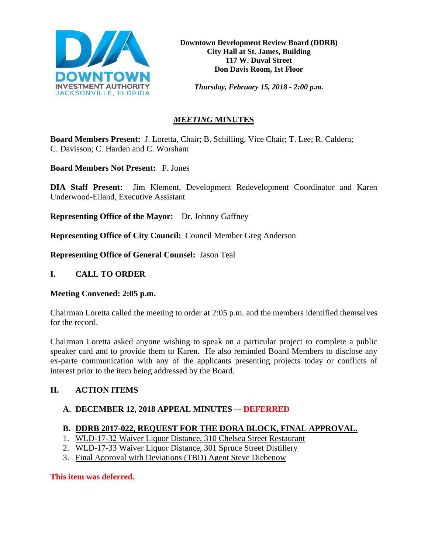

*Thursday, February 15, 2018 - 2:00 p.m.*

# *MEETING* **MINUTES**

**Board Members Present:** J. Loretta, Chair; B. Schilling, Vice Chair; T. Lee; R. Caldera; C. Davisson; C. Harden and C. Worsham

**Board Members Not Present:** F. Jones

**DIA Staff Present:** Jim Klement, Development Redevelopment Coordinator and Karen Underwood-Eiland, Executive Assistant

**Representing Office of the Mayor:** Dr. Johnny Gaffney

**Representing Office of City Council:** Council Member Greg Anderson

**Representing Office of General Counsel:** Jason Teal

## **I. CALL TO ORDER**

## **Meeting Convened: 2:05 p.m.**

Chairman Loretta called the meeting to order at 2:05 p.m. and the members identified themselves for the record.

Chairman Loretta asked anyone wishing to speak on a particular project to complete a public speaker card and to provide them to Karen. He also reminded Board Members to disclose any ex-parte communication with any of the applicants presenting projects today or conflicts of interest prior to the item being addressed by the Board.

# **II. ACTION ITEMS**

## **A. DECEMBER 12, 2018 APPEAL MINUTES –- DEFERRED**

# **B. DDRB 2017-022, REQUEST FOR THE DORA BLOCK, FINAL APPROVAL.**

- 1. WLD-17-32 Waiver Liquor Distance, 310 Chelsea Street Restaurant
- 2. WLD-17-33 Waiver Liquor Distance, 301 Spruce Street Distillery
- 3. Final Approval with Deviations (TBD) Agent Steve Diebenow

**This item was deferred.**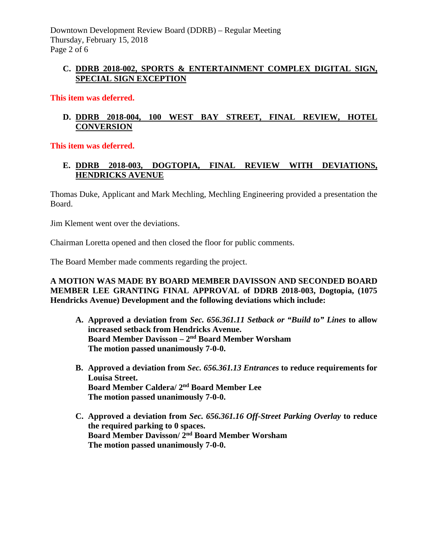## **C. DDRB 2018-002, SPORTS & ENTERTAINMENT COMPLEX DIGITAL SIGN, SPECIAL SIGN EXCEPTION**

### **This item was deferred.**

## **D. DDRB 2018-004, 100 WEST BAY STREET, FINAL REVIEW, HOTEL CONVERSION**

#### **This item was deferred.**

# **E. DDRB 2018-003, DOGTOPIA, FINAL REVIEW WITH DEVIATIONS, HENDRICKS AVENUE**

Thomas Duke, Applicant and Mark Mechling, Mechling Engineering provided a presentation the Board.

Jim Klement went over the deviations.

Chairman Loretta opened and then closed the floor for public comments.

The Board Member made comments regarding the project.

### **A MOTION WAS MADE BY BOARD MEMBER DAVISSON AND SECONDED BOARD MEMBER LEE GRANTING FINAL APPROVAL of DDRB 2018-003, Dogtopia, (1075 Hendricks Avenue) Development and the following deviations which include:**

- **A. Approved a deviation from** *Sec. 656.361.11 Setback or "Build to" Lines* **to allow increased setback from Hendricks Avenue. Board Member Davisson – 2nd Board Member Worsham The motion passed unanimously 7-0-0.**
- **B. Approved a deviation from** *Sec. 656.361.13 Entrances* **to reduce requirements for Louisa Street. Board Member Caldera/ 2nd Board Member Lee The motion passed unanimously 7-0-0.**
- **C. Approved a deviation from** *Sec. 656.361.16 Off-Street Parking Overlay* **to reduce the required parking to 0 spaces. Board Member Davisson/ 2nd Board Member Worsham The motion passed unanimously 7-0-0.**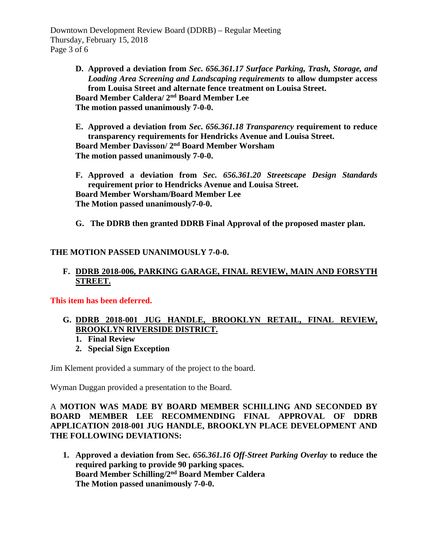Downtown Development Review Board (DDRB) – Regular Meeting Thursday, February 15, 2018 Page 3 of 6

> **D. Approved a deviation from** *Sec. 656.361.17 Surface Parking, Trash, Storage, and Loading Area Screening and Landscaping requirements* **to allow dumpster access from Louisa Street and alternate fence treatment on Louisa Street. Board Member Caldera/ 2nd Board Member Lee The motion passed unanimously 7-0-0.**

> **E. Approved a deviation from** *Sec. 656.361.18 Transparency* **requirement to reduce transparency requirements for Hendricks Avenue and Louisa Street. Board Member Davisson/ 2nd Board Member Worsham The motion passed unanimously 7-0-0.**

> **F. Approved a deviation from** *Sec. 656.361.20 Streetscape Design Standards*  **requirement prior to Hendricks Avenue and Louisa Street. Board Member Worsham/Board Member Lee The Motion passed unanimously7-0-0.**

**G. The DDRB then granted DDRB Final Approval of the proposed master plan.**

## **THE MOTION PASSED UNANIMOUSLY 7-0-0.**

## **F. DDRB 2018-006, PARKING GARAGE, FINAL REVIEW, MAIN AND FORSYTH STREET.**

**This item has been deferred.** 

- **G. DDRB 2018-001 JUG HANDLE, BROOKLYN RETAIL, FINAL REVIEW, BROOKLYN RIVERSIDE DISTRICT.** 
	- **1. Final Review**
	- **2. Special Sign Exception**

Jim Klement provided a summary of the project to the board.

Wyman Duggan provided a presentation to the Board.

### A **MOTION WAS MADE BY BOARD MEMBER SCHILLING AND SECONDED BY BOARD MEMBER LEE RECOMMENDING FINAL APPROVAL OF DDRB APPLICATION 2018-001 JUG HANDLE, BROOKLYN PLACE DEVELOPMENT AND THE FOLLOWING DEVIATIONS:**

**1. Approved a deviation from Sec.** *656.361.16 Off-Street Parking Overlay* **to reduce the required parking to provide 90 parking spaces. Board Member Schilling/2nd Board Member Caldera The Motion passed unanimously 7-0-0.**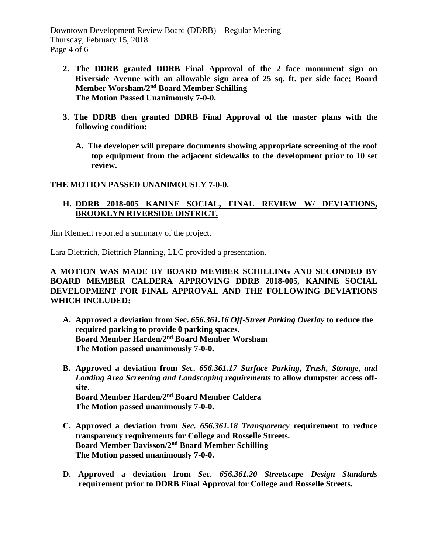Downtown Development Review Board (DDRB) – Regular Meeting Thursday, February 15, 2018 Page 4 of 6

- **2. The DDRB granted DDRB Final Approval of the 2 face monument sign on Riverside Avenue with an allowable sign area of 25 sq. ft. per side face; Board Member Worsham/2nd Board Member Schilling The Motion Passed Unanimously 7-0-0.**
- **3. The DDRB then granted DDRB Final Approval of the master plans with the following condition:**
	- **A. The developer will prepare documents showing appropriate screening of the roof top equipment from the adjacent sidewalks to the development prior to 10 set review.**

#### **THE MOTION PASSED UNANIMOUSLY 7-0-0.**

## **H. DDRB 2018-005 KANINE SOCIAL, FINAL REVIEW W/ DEVIATIONS, BROOKLYN RIVERSIDE DISTRICT.**

Jim Klement reported a summary of the project.

Lara Diettrich, Diettrich Planning, LLC provided a presentation.

### **A MOTION WAS MADE BY BOARD MEMBER SCHILLING AND SECONDED BY BOARD MEMBER CALDERA APPROVING DDRB 2018-005, KANINE SOCIAL DEVELOPMENT FOR FINAL APPROVAL AND THE FOLLOWING DEVIATIONS WHICH INCLUDED:**

- **A. Approved a deviation from Sec.** *656.361.16 Off-Street Parking Overlay* **to reduce the required parking to provide 0 parking spaces. Board Member Harden/2nd Board Member Worsham The Motion passed unanimously 7-0-0.**
- **B. Approved a deviation from** *Sec. 656.361.17 Surface Parking, Trash, Storage, and Loading Area Screening and Landscaping requirements* **to allow dumpster access offsite. Board Member Harden/2nd Board Member Caldera The Motion passed unanimously 7-0-0.**
- **C. Approved a deviation from** *Sec. 656.361.18 Transparency* **requirement to reduce transparency requirements for College and Rosselle Streets. Board Member Davisson/2nd Board Member Schilling The Motion passed unanimously 7-0-0.**
- **D. Approved a deviation from** *Sec. 656.361.20 Streetscape Design Standards*  **requirement prior to DDRB Final Approval for College and Rosselle Streets.**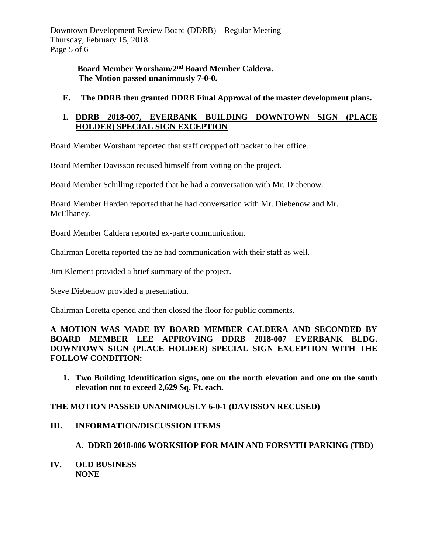Downtown Development Review Board (DDRB) – Regular Meeting Thursday, February 15, 2018 Page 5 of 6

> **Board Member Worsham/2nd Board Member Caldera. The Motion passed unanimously 7-0-0.**

**E. The DDRB then granted DDRB Final Approval of the master development plans.** 

## **I. DDRB 2018-007, EVERBANK BUILDING DOWNTOWN SIGN (PLACE HOLDER) SPECIAL SIGN EXCEPTION**

Board Member Worsham reported that staff dropped off packet to her office.

Board Member Davisson recused himself from voting on the project.

Board Member Schilling reported that he had a conversation with Mr. Diebenow.

Board Member Harden reported that he had conversation with Mr. Diebenow and Mr. McElhaney.

Board Member Caldera reported ex-parte communication.

Chairman Loretta reported the he had communication with their staff as well.

Jim Klement provided a brief summary of the project.

Steve Diebenow provided a presentation.

Chairman Loretta opened and then closed the floor for public comments.

**A MOTION WAS MADE BY BOARD MEMBER CALDERA AND SECONDED BY BOARD MEMBER LEE APPROVING DDRB 2018-007 EVERBANK BLDG. DOWNTOWN SIGN (PLACE HOLDER) SPECIAL SIGN EXCEPTION WITH THE FOLLOW CONDITION:**

**1. Two Building Identification signs, one on the north elevation and one on the south elevation not to exceed 2,629 Sq. Ft. each.** 

**THE MOTION PASSED UNANIMOUSLY 6-0-1 (DAVISSON RECUSED)** 

## **III. INFORMATION/DISCUSSION ITEMS**

**A. DDRB 2018-006 WORKSHOP FOR MAIN AND FORSYTH PARKING (TBD)** 

**IV. OLD BUSINESS NONE**